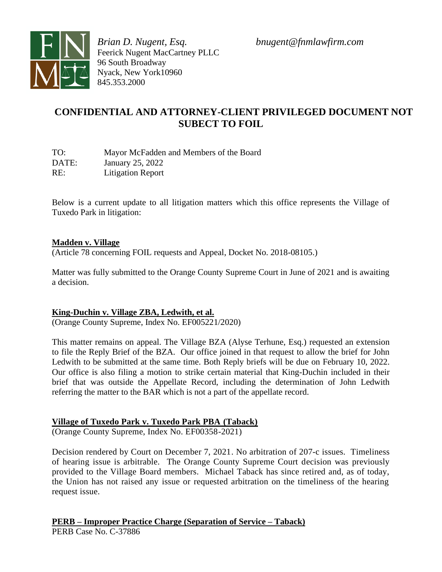



*Brian D. Nugent, Esq. bnugent@fnmlawfirm.com* Feerick Nugent MacCartney PLLC 96 South Broadway Nyack, New York10960 845.353.2000

# **CONFIDENTIAL AND ATTORNEY-CLIENT PRIVILEGED DOCUMENT NOT SUBECT TO FOIL**

| TO:   | Mayor McFadden and Members of the Board |
|-------|-----------------------------------------|
| DATE: | January 25, 2022                        |
| RE:   | <b>Litigation Report</b>                |

Below is a current update to all litigation matters which this office represents the Village of Tuxedo Park in litigation:

### **Madden v. Village**

(Article 78 concerning FOIL requests and Appeal, Docket No. 2018-08105.)

Matter was fully submitted to the Orange County Supreme Court in June of 2021 and is awaiting a decision.

### **King-Duchin v. Village ZBA, Ledwith, et al.**

(Orange County Supreme, Index No. EF005221/2020)

This matter remains on appeal. The Village BZA (Alyse Terhune, Esq.) requested an extension to file the Reply Brief of the BZA. Our office joined in that request to allow the brief for John Ledwith to be submitted at the same time. Both Reply briefs will be due on February 10, 2022. Our office is also filing a motion to strike certain material that King-Duchin included in their brief that was outside the Appellate Record, including the determination of John Ledwith referring the matter to the BAR which is not a part of the appellate record.

### **Village of Tuxedo Park v. Tuxedo Park PBA (Taback)**

(Orange County Supreme, Index No. EF00358-2021)

Decision rendered by Court on December 7, 2021. No arbitration of 207-c issues. Timeliness of hearing issue is arbitrable. The Orange County Supreme Court decision was previously provided to the Village Board members. Michael Taback has since retired and, as of today, the Union has not raised any issue or requested arbitration on the timeliness of the hearing request issue.

**PERB – Improper Practice Charge (Separation of Service – Taback)**

PERB Case No. C-37886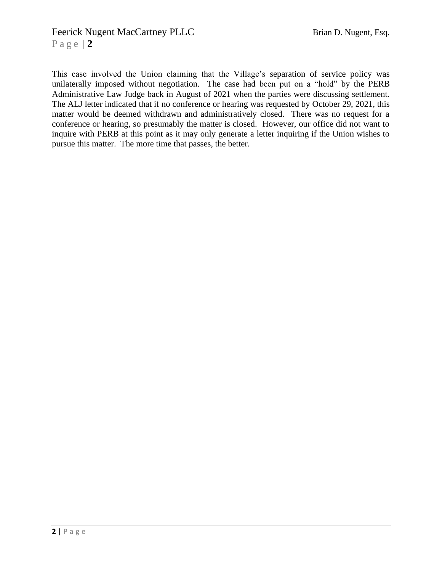# Feerick Nugent MacCartney PLLC Brian D. Nugent, Esq.

P a g e | **2**

This case involved the Union claiming that the Village's separation of service policy was unilaterally imposed without negotiation. The case had been put on a "hold" by the PERB Administrative Law Judge back in August of 2021 when the parties were discussing settlement. The ALJ letter indicated that if no conference or hearing was requested by October 29, 2021, this matter would be deemed withdrawn and administratively closed. There was no request for a conference or hearing, so presumably the matter is closed. However, our office did not want to inquire with PERB at this point as it may only generate a letter inquiring if the Union wishes to pursue this matter. The more time that passes, the better.